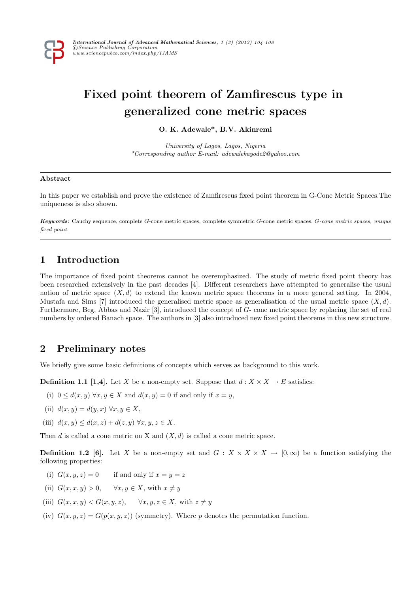

# Fixed point theorem of Zamfirescus type in generalized cone metric spaces

O. K. Adewale\*, B.V. Akinremi

University of Lagos, Lagos, Nigeria \*Corresponding author E-mail: adewalekayode2@yahoo.com

#### Abstract

In this paper we establish and prove the existence of Zamfirescus fixed point theorem in G-Cone Metric Spaces.The uniqueness is also shown.

Keywords: Cauchy sequence, complete G-cone metric spaces, complete symmetric G-cone metric spaces, G-cone metric spaces, unique fixed point.

# 1 Introduction

The importance of fixed point theorems cannot be overemphasized. The study of metric fixed point theory has been researched extensively in the past decades [4]. Different researchers have attempted to generalise the usual notion of metric space  $(X, d)$  to extend the known metric space theorems in a more general setting. In 2004, Mustafa and Sims [7] introduced the generalised metric space as generalisation of the usual metric space  $(X, d)$ . Furthermore, Beg, Abbas and Nazir [3], introduced the concept of G- cone metric space by replacing the set of real numbers by ordered Banach space. The authors in [3] also introduced new fixed point theorems in this new structure.

## 2 Preliminary notes

We briefly give some basic definitions of concepts which serves as background to this work.

**Definition 1.1 [1,4].** Let X be a non-empty set. Suppose that  $d: X \times X \to E$  satisfies:

- (i)  $0 \leq d(x, y) \,\forall x, y \in X$  and  $d(x, y) = 0$  if and only if  $x = y$ ,
- (ii)  $d(x, y) = d(y, x) \,\forall x, y \in X$ ,
- (iii)  $d(x, y) \leq d(x, z) + d(z, y) \,\forall x, y, z \in X$ .

Then d is called a cone metric on X and  $(X, d)$  is called a cone metric space.

**Definition 1.2 [6].** Let X be a non-empty set and  $G: X \times X \times X \rightarrow [0,\infty)$  be a function satisfying the following properties:

- (i)  $G(x, y, z) = 0$  if and only if  $x = y = z$
- (ii)  $G(x, x, y) > 0$ ,  $\forall x, y \in X$ , with  $x \neq y$
- (iii)  $G(x, x, y) < G(x, y, z), \quad \forall x, y, z \in X$ , with  $z \neq y$
- (iv)  $G(x, y, z) = G(p(x, y, z))$  (symmetry). Where p denotes the permutation function.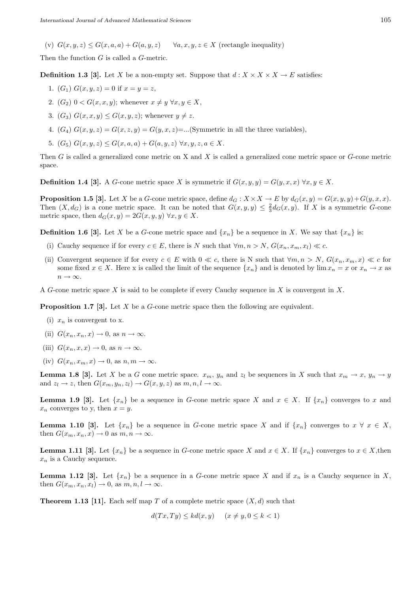(v)  $G(x, y, z) \le G(x, a, a) + G(a, y, z)$   $\forall a, x, y, z \in X$  (rectangle inequality)

Then the function G is called a G-metric.

**Definition 1.3** [3]. Let X be a non-empty set. Suppose that  $d: X \times X \times X \to E$  satisfies:

- 1.  $(G_1) G(x, y, z) = 0$  if  $x = y = z$ ,
- 2.  $(G_2)$   $0 < G(x, x, y)$ ; whenever  $x \neq y \ \forall x, y \in X$ ,
- 3.  $(G_3)$   $G(x, x, y) \leq G(x, y, z)$ ; whenever  $y \neq z$ .
- 4.  $(G_4)$   $G(x, y, z) = G(x, z, y) = G(y, x, z) = \dots$  (Symmetric in all the three variables),
- 5.  $(G_5)$   $G(x, y, z) \leq G(x, a, a) + G(a, y, z) \ \forall x, y, z, a \in X$ .

Then  $G$  is called a generalized cone metric on X and X is called a generalized cone metric space or  $G$ -cone metric space.

**Definition 1.4 [3].** A G-cone metric space X is symmetric if  $G(x, y, y) = G(y, x, x) \,\forall x, y \in X$ .

**Proposition 1.5 [3].** Let X be a G-cone metric space, define  $d_G : X \times X \to E$  by  $d_G(x, y) = G(x, y, y) + G(y, x, x)$ . Then  $(X, d_G)$  is a cone metric space. It can be noted that  $G(x, y, y) \leq \frac{2}{3}d_G(x, y)$ . If X is a symmetric G-cone metric space, then  $d_G(x, y) = 2G(x, y, y) \,\forall x, y \in X$ .

**Definition 1.6 [3].** Let X be a G-cone metric space and  $\{x_n\}$  be a sequence in X. We say that  $\{x_n\}$  is:

- (i) Cauchy sequence if for every  $c \in E$ , there is N such that  $\forall m, n > N$ ,  $G(x_n, x_m, x_l) \ll c$ .
- (ii) Convergent sequence if for every  $c \in E$  with  $0 \ll c$ , there is N such that  $\forall m, n > N$ ,  $G(x_n, x_m, x) \ll c$  for some fixed  $x \in X$ . Here x is called the limit of the sequence  $\{x_n\}$  and is denoted by  $\lim x_n = x$  or  $x_n \to x$  as  $n \to \infty$
- A G-cone metric space X is said to be complete if every Cauchy sequence in X is convergent in X.

**Proposition 1.7 [3].** Let  $X$  be a  $G$ -cone metric space then the following are equivalent.

- (i)  $x_n$  is convergent to x.
- (ii)  $G(x_n, x_n, x) \to 0$ , as  $n \to \infty$ .
- (iii)  $G(x_n, x, x) \to 0$ , as  $n \to \infty$ .
- (iv)  $G(x_n, x_m, x) \to 0$ , as  $n, m \to \infty$ .

**Lemma 1.8 [3].** Let X be a G cone metric space.  $x_m$ ,  $y_n$  and  $z_l$  be sequences in X such that  $x_m \to x$ ,  $y_n \to y$ and  $z_l \to z$ , then  $G(x_m, y_n, z_l) \to G(x, y, z)$  as  $m, n, l \to \infty$ .

**Lemma 1.9 [3].** Let  $\{x_n\}$  be a sequence in G-cone metric space X and  $x \in X$ . If  $\{x_n\}$  converges to x and  $x_n$  converges to y, then  $x = y$ .

**Lemma 1.10 [3].** Let  $\{x_n\}$  be a sequence in G-cone metric space X and if  $\{x_n\}$  converges to  $x \forall x \in X$ , then  $G(x_m, x_n, x) \to 0$  as  $m, n \to \infty$ .

**Lemma 1.11 [3].** Let  $\{x_n\}$  be a sequence in G-cone metric space X and  $x \in X$ . If  $\{x_n\}$  converges to  $x \in X$ , then  $x_n$  is a Cauchy sequence.

**Lemma 1.12 [3].** Let  $\{x_n\}$  be a sequence in a G-cone metric space X and if  $x_n$  is a Cauchy sequence in X, then  $G(x_m, x_n, x_l) \to 0$ , as  $m, n, l \to \infty$ .

**Theorem 1.13 [11].** Each self map T of a complete metric space  $(X, d)$  such that

 $d(T x, T y) \leq k d(x, y)$   $(x \neq y, 0 \leq k \leq 1)$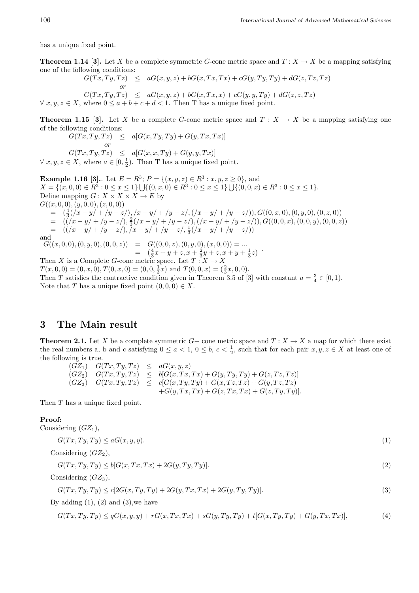has a unique fixed point.

**Theorem 1.14 [3].** Let X be a complete symmetric G-cone metric space and  $T : X \to X$  be a mapping satisfying one of the following conditions:

 $G(Tx, Ty, Tz) \leq aG(x, y, z) + bG(x, Tx, Tx) + cG(y, Ty, Ty) + dG(z, Tz, Tz)$ or  $G(Tx, Ty, Tz) \leq aG(x, y, z) + bG(x, Tx, x) + cG(y, y, Ty) + dG(z, z, Tz)$  $\forall x, y, z \in X$ , where  $0 \le a + b + c + d < 1$ . Then T has a unique fixed point.

**Theorem 1.15 [3].** Let X be a complete G-cone metric space and  $T : X \to X$  be a mapping satisfying one of the following conditions:

$$
G(Tx, Ty, Tz) \leq a[G(x, Ty, Ty) + G(y, Tx, Tx)]
$$
  
or  

$$
G(Tx, Ty, Tz) \leq a[G(x, x, Ty) + G(y, y, Tx)]
$$

 $\forall x, y, z \in X$ , where  $a \in [0, \frac{1}{2})$ . Then T has a unique fixed point.

**Example 1.16 [3].**. Let  $E = R^3$ ;  $P = \{(x, y, z) \in R^3 : x, y, z \ge 0\}$ , and  $X = \{(x, 0, 0) \in \mathbb{R}^3 : 0 \le x \le 1\} \cup \{(0, x, 0) \in \mathbb{R}^3 : 0 \le x \le 1\} \cup \{(0, 0, x) \in \mathbb{R}^3 : 0 \le x \le 1\}.$ Define mapping  $G: X \times X \times X \to E$  by  $G((x, 0, 0), (y, 0, 0), (z, 0, 0))$  $=\quad (\frac{4}{3}(x-y)+|y-z|), (x-y|+|y-z|, (x-y|+|y-z|)), G((0,x,0), (0,y,0), (0,z,0))$  $=\left((\sqrt{x}-y/+/y-z/),\frac{2}{3}(\sqrt{x}-y/+/y-z/),(\sqrt{x}-y/+/y-z/)),G((0,0,x),(0,0,y),(0,0,z)\right)$  $=$   $((x - y) + (y - z), (x - y) + (y - z), \frac{1}{3}(x - y) + (y - z))$ and  $G((x, 0, 0), (0, y, 0), (0, 0, z)) = G((0, 0, z), (0, y, 0), (x, 0, 0)) = ...$ =  $(\frac{4}{3}x + y + z, x + \frac{2}{3}y + z, x + y + \frac{1}{3}z)$ Then X is a Complete G-cone metric space. Let  $T : X \to X$  $T(x, 0, 0) = (0, x, 0), T(0, x, 0) = (0, 0, \frac{1}{3}x)$  and  $T(0, 0, x) = (\frac{2}{3}x, 0, 0)$ . Then T satisfies the contractive condition given in Theorem 3.5 of [3] with constant  $a = \frac{3}{4} \in [0, 1)$ .

### 3 The Main result

Note that T has a unique fixed point  $(0, 0, 0) \in X$ .

**Theorem 2.1.** Let X be a complete symmetric  $G-$  cone metric space and  $T: X \to X$  a map for which there exist the real numbers a, b and c satisfying  $0 \le a < 1$ ,  $0 \le b$ ,  $c < \frac{1}{2}$ , such that for each pair  $x, y, z \in X$  at least one of the following is true.

 $(GZ_1)$   $G(Tx, Ty, Tz) \leq aG(x, y, z)$  $(GZ_2) \quad G(Tx, Ty, Tz) \leq b[G(x, Tx, Tx) + G(y, Ty, Ty) + G(z, Tz, Tz)]$  $(GZ_3)$   $G(Tx,Ty,Tz) \leq c[G(x,Ty,Ty) + G(x,Tz,Tz) + G(y,Tz,Tz)]$  $+G(y, Tx, Tx) + G(z, Tx, Tx) + G(z, Ty, Ty)$ .

Then T has a unique fixed point.

#### Proof:

Considering  $(GZ_1)$ ,

$$
G(Tx, Ty, Ty) \le aG(x, y, y). \tag{1}
$$

Considering  $(GZ_2)$ ,

$$
G(Tx, Ty, Ty) \le b[G(x, Tx, Tx) + 2G(y, Ty, Ty)].
$$
\n
$$
(2)
$$

Considering  $(GZ_3)$ ,

$$
G(Tx, Ty, Ty) \le c[2G(x, Ty, Ty) + 2G(y, Tx, Tx) + 2G(y, Ty, Ty)].
$$
\n(3)

By adding  $(1)$ ,  $(2)$  and  $(3)$ , we have

$$
G(Tx, Ty, Ty) \le qG(x, y, y) + rG(x, Tx, Tx) + sG(y, Ty, Ty) + t[G(x, Ty, Ty) + G(y, Tx, Tx)],
$$
\n(4)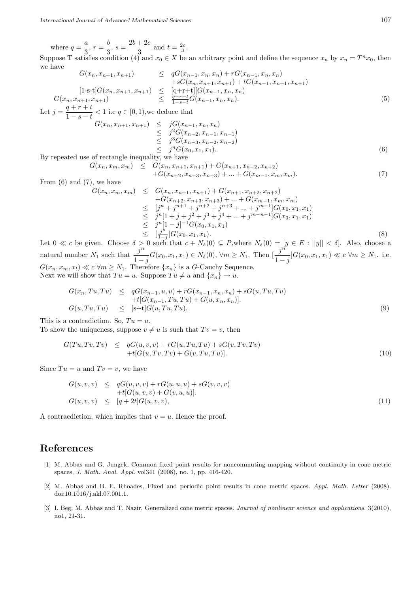where  $q = \frac{a}{2}$  $\frac{a}{3}, r = \frac{b}{3}$  $\frac{b}{3}, s = \frac{2b+2c}{3}$  $\frac{+2c}{3}$  and  $t = \frac{2c}{3}$ .

Suppose T satisfies condition (4) and  $x_0 \in X$  be an arbitrary point and define the sequence  $x_n$  by  $x_n = T^n x_0$ , then we have

$$
G(x_n, x_{n+1}, x_{n+1}) \leq qG(x_{n-1}, x_n, x_n) + rG(x_{n-1}, x_n, x_n) + sG(x_n, x_{n+1}, x_{n+1}) + tG(x_{n-1}, x_{n+1}, x_{n+1}) G(x_n, x_{n+1}, x_{n+1}) \leq \frac{[q+r+t][G(x_{n-1}, x_n, x_n) + sG(x_{n-1}, x_n, x_n)}{\frac{q+r+t}{1-s-t}G(x_{n-1}, x_n, x_n).
$$
(5)

Let  $j = \frac{q + r + t}{1}$  $\frac{q+r}{1-s-t} < 1$  i.e  $q \in [0,1)$ , we deduce that

$$
G(x_n, x_{n+1}, x_{n+1}) \leq jG(x_{n-1}, x_n, x_n)
$$
  
\n
$$
\leq j^2 G(x_{n-2}, x_{n-1}, x_{n-1})
$$
  
\n
$$
\leq j^3 G(x_{n-3}, x_{n-2}, x_{n-2})
$$
  
\n
$$
\leq j^n G(x_0, x_1, x_1).
$$
 (6)

By repeated use of rectangle inequality, we have

$$
G(x_n, x_m, x_m) \leq G(x_n, x_{n+1}, x_{n+1}) + G(x_{n+1}, x_{n+2}, x_{n+2}) + G(x_{n+2}, x_{n+3}, x_{n+3}) + \dots + G(x_{m-1}, x_m, x_m). \tag{7}
$$

From  $(6)$  and  $(7)$ , we have

$$
G(x_n, x_m, x_m) \leq G(x_n, x_{n+1}, x_{n+1}) + G(x_{n+1}, x_{n+2}, x_{n+2}) + G(x_{n+2}, x_{n+3}, x_{n+3}) + \ldots + G(x_{m-1}, x_m, x_m) \leq [j^n + j^{n+1} + j^{n+2} + j^{n+3} + \ldots + j^{m-1}] G(x_0, x_1, x_1) \leq j^n [1 + j + j^2 + j^3 + j^4 + \ldots + j^{m-n-1}] G(x_0, x_1, x_1) \leq [j^n] - j]^{-1} G(x_0, x_1, x_1) \leq [\frac{j^n}{1-j}] G(x_0, x_1, x_1).
$$
\n(8)

Let  $0 \ll c$  be given. Choose  $\delta > 0$  such that  $c + N_{\delta}(0) \subseteq P$ , where  $N_{\delta}(0) = [y \in E : ||y|| < \delta]$ . Also, choose a natural number  $N_1$  such that  $\frac{j^n}{j^n}$  $\frac{j^n}{1-j}G(x_0, x_1, x_1) \in N_\delta(0), \forall m \ge N_1. \text{ Then } [\frac{j^n}{1-y}].$  $\frac{J}{1-j}G(x_0, x_1, x_1) \ll c \ \forall m \ge N_1$ . i.e.  $G(x_n, x_m, x_l) \ll c \forall m \geq N_1$ . Therefore  $\{x_n\}$  is a G-Cauchy Sequence. Next we will show that  $Tu = u$ . Suppose  $Tu \neq u$  and  $\{x_n\} \to u$ .

$$
G(x_n, Tu, Tu) \leq qG(x_{n-1}, u, u) + rG(x_{n-1}, x_n, x_n) + sG(u, Tu, Tu) + t[G(x_{n-1}, Tu, Tu) + G(u, x_n, x_n)].
$$
  

$$
G(u, Tu, Tu) \leq [s+t]G(u, Tu, Tu).
$$
 (9)

This is a contradiction. So,  $Tu = u$ .

To show the uniqueness, suppose  $v \neq u$  is such that  $Tv = v$ , then

$$
G(Tu, Tv, Tv) \leq qG(u, v, v) + rG(u, Tu, Tu) + sG(v, Tv, Tv) + t[G(u, Tv, Tv) + G(v, Tu, Tu)].
$$
\n(10)

Since  $Tu = u$  and  $Tv = v$ , we have

$$
G(u, v, v) \leq qG(u, v, v) + rG(u, u, u) + sG(v, v, v) + t[G(u, v, v) + G(v, u, u)]. G(u, v, v) \leq [q + 2t]G(u, v, v),
$$
\n(11)

A contracdiction, which implies that  $v = u$ . Hence the proof.

## References

- [1] M. Abbas and G. Jungek, Common fixed point results for noncommuting mapping without continuity in cone metric spaces, J. Math. Anal. Appl. vol341 (2008), no. 1, pp. 416-420.
- [2] M. Abbas and B. E. Rhoades, Fixed and periodic point results in cone metric spaces. Appl. Math. Letter (2008). doi:10.1016/j.akl.07.001.1.
- [3] I. Beg, M. Abbas and T. Nazir, Generalized cone metric spaces. Journal of nonlinear science and applications. 3(2010), no1, 21-31.